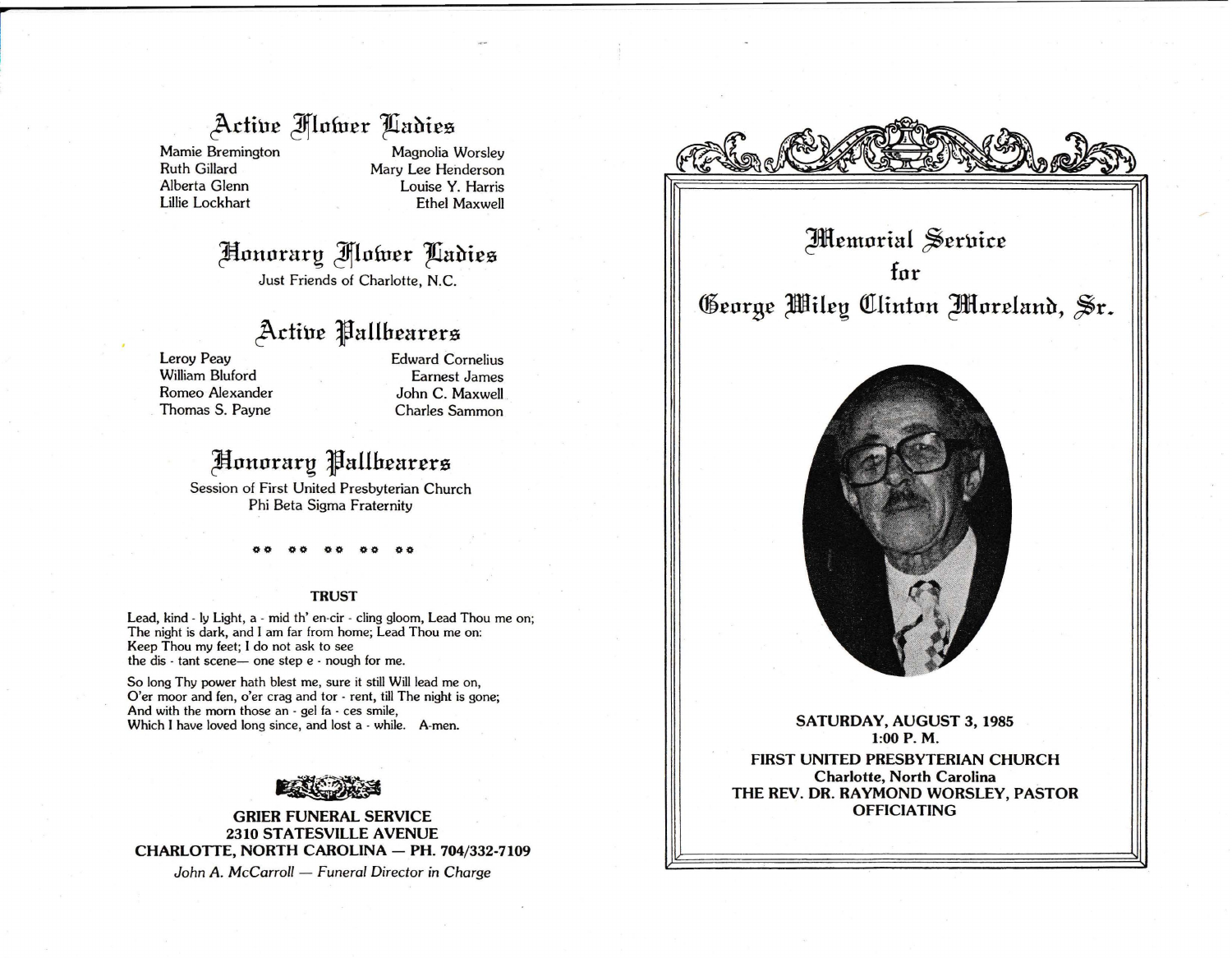## Active Mower Ladies

Mamie Bremington Ruth Gillard Alberta Glenn Lillie Lockhart

Magnolia Worsley Mary Lee Henderson Louise Y. Harris Ethel Maxwell

# ~onorart;? **Jfflofucr 'lfiahicz**

Just Friends of Charlotte, N.C.

### **J\.di'uc Jallbcarcrz**

Leroy Peay William Bluford Romeo Alexander Thomas S. Payne Edward Cornelius Earnest James John C. Maxwell Charles Sammon

### ~onorart;? **Jallbcarcrz**

Session of First United Presbyterian Church Phi Beta Sigma Fraternity

00 00 **00 00 00** 

### **TRUST**

Lead, kind - ly Light, a - mid th' en-cir - cling gloom, Lead Thou me on; The night is dark, and I am far from home; Lead Thou me on: Keep Thou my feet; I do not ask to see the dis  $\cdot$  tant scene- one step  $e \cdot$  nough for me.

So long Thy power hath blest me, sure it still Will lead me on, O'er moor and fen, o'er crag and tor - rent, till The night is gone; And with the morn those an - gel fa - ces smile, Which I have loved long since, and lost a - while. A-men.



**GRIER FUNERAL SERVICE 2310 STATESVILLE AVENUE CHARLOTTE, NORTH CAROLINA - PH. 704/332-7109** 

John A. McCarroll - *Funeral Director in Charge* 



**Memorial Service for George Wiley Clinton Moreland, Sr.** 



**SATURDAY, AUGUST 3, 1985 1:00 P. M. FIRST UNITED PRESBYTERIAN CHURCH Charlotte, North Carolina THE REV. DR. RAYMOND WORSLEY, PASTOR OFFICIATING**